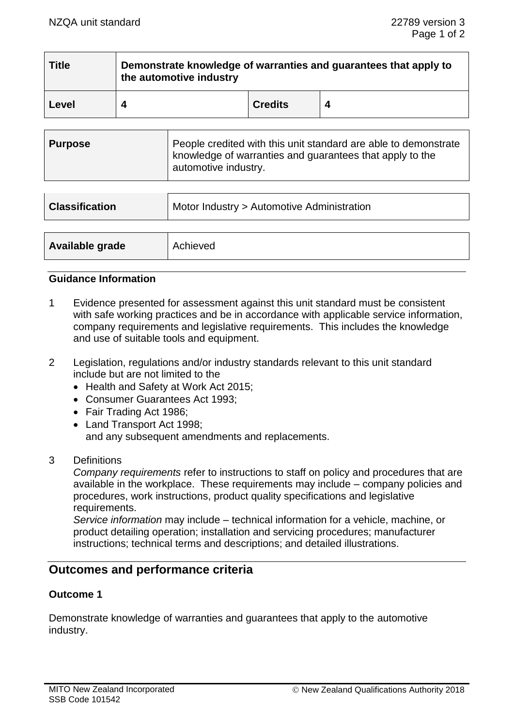| <b>Title</b> | Demonstrate knowledge of warranties and guarantees that apply to<br>the automotive industry |                |  |  |
|--------------|---------------------------------------------------------------------------------------------|----------------|--|--|
| Level        |                                                                                             | <b>Credits</b> |  |  |

| <b>Purpose</b> | People credited with this unit standard are able to demonstrate<br>knowledge of warranties and guarantees that apply to the<br>automotive industry. |
|----------------|-----------------------------------------------------------------------------------------------------------------------------------------------------|
|----------------|-----------------------------------------------------------------------------------------------------------------------------------------------------|

| <b>Classification</b> | Motor Industry > Automotive Administration |  |
|-----------------------|--------------------------------------------|--|
|                       |                                            |  |
| Available grade       | Achieved                                   |  |

## **Guidance Information**

- 1 Evidence presented for assessment against this unit standard must be consistent with safe working practices and be in accordance with applicable service information, company requirements and legislative requirements. This includes the knowledge and use of suitable tools and equipment.
- 2 Legislation, regulations and/or industry standards relevant to this unit standard include but are not limited to the
	- Health and Safety at Work Act 2015;
	- Consumer Guarantees Act 1993;
	- Fair Trading Act 1986;
	- Land Transport Act 1998; and any subsequent amendments and replacements.
- 3 Definitions

*Company requirements* refer to instructions to staff on policy and procedures that are available in the workplace. These requirements may include – company policies and procedures, work instructions, product quality specifications and legislative requirements.

*Service information* may include – technical information for a vehicle, machine, or product detailing operation; installation and servicing procedures; manufacturer instructions; technical terms and descriptions; and detailed illustrations.

# **Outcomes and performance criteria**

# **Outcome 1**

Demonstrate knowledge of warranties and guarantees that apply to the automotive industry.